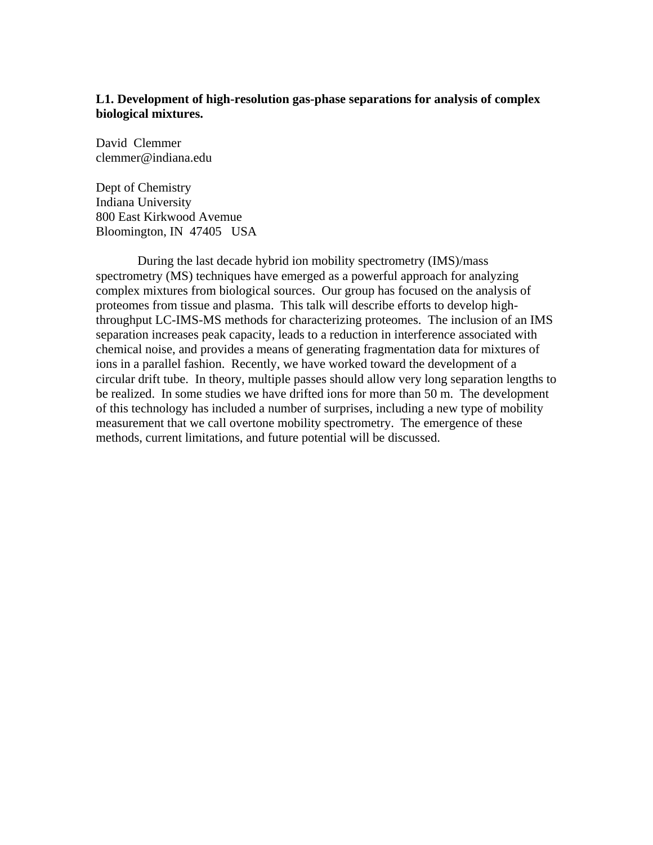### **L1. Development of high-resolution gas-phase separations for analysis of complex biological mixtures.**

David Clemmer clemmer@indiana.edu

Dept of Chemistry Indiana University 800 East Kirkwood Avemue Bloomington, IN 47405 USA

 During the last decade hybrid ion mobility spectrometry (IMS)/mass spectrometry (MS) techniques have emerged as a powerful approach for analyzing complex mixtures from biological sources. Our group has focused on the analysis of proteomes from tissue and plasma. This talk will describe efforts to develop highthroughput LC-IMS-MS methods for characterizing proteomes. The inclusion of an IMS separation increases peak capacity, leads to a reduction in interference associated with chemical noise, and provides a means of generating fragmentation data for mixtures of ions in a parallel fashion. Recently, we have worked toward the development of a circular drift tube. In theory, multiple passes should allow very long separation lengths to be realized. In some studies we have drifted ions for more than 50 m. The development of this technology has included a number of surprises, including a new type of mobility measurement that we call overtone mobility spectrometry. The emergence of these methods, current limitations, and future potential will be discussed.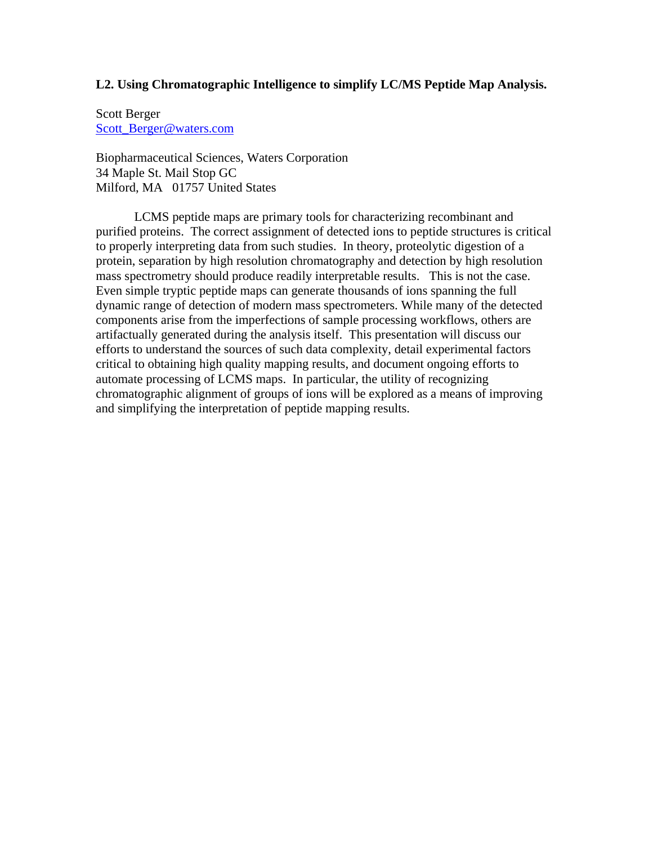### **L2. Using Chromatographic Intelligence to simplify LC/MS Peptide Map Analysis.**

Scott Berger [Scott\\_Berger@waters.com](mailto:Scott_Berger@waters.com)

Biopharmaceutical Sciences, Waters Corporation 34 Maple St. Mail Stop GC Milford, MA 01757 United States

LCMS peptide maps are primary tools for characterizing recombinant and purified proteins. The correct assignment of detected ions to peptide structures is critical to properly interpreting data from such studies. In theory, proteolytic digestion of a protein, separation by high resolution chromatography and detection by high resolution mass spectrometry should produce readily interpretable results. This is not the case. Even simple tryptic peptide maps can generate thousands of ions spanning the full dynamic range of detection of modern mass spectrometers. While many of the detected components arise from the imperfections of sample processing workflows, others are artifactually generated during the analysis itself. This presentation will discuss our efforts to understand the sources of such data complexity, detail experimental factors critical to obtaining high quality mapping results, and document ongoing efforts to automate processing of LCMS maps. In particular, the utility of recognizing chromatographic alignment of groups of ions will be explored as a means of improving and simplifying the interpretation of peptide mapping results.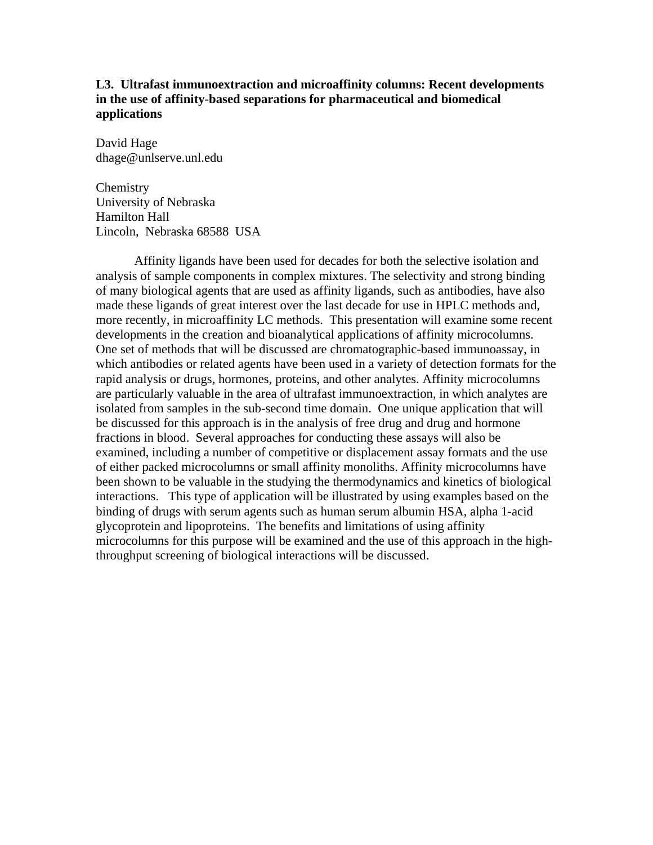**L3. Ultrafast immunoextraction and microaffinity columns: Recent developments in the use of affinity-based separations for pharmaceutical and biomedical applications** 

David Hage dhage@unlserve.unl.edu

Chemistry University of Nebraska Hamilton Hall Lincoln, Nebraska 68588 USA

Affinity ligands have been used for decades for both the selective isolation and analysis of sample components in complex mixtures. The selectivity and strong binding of many biological agents that are used as affinity ligands, such as antibodies, have also made these ligands of great interest over the last decade for use in HPLC methods and, more recently, in microaffinity LC methods. This presentation will examine some recent developments in the creation and bioanalytical applications of affinity microcolumns. One set of methods that will be discussed are chromatographic-based immunoassay, in which antibodies or related agents have been used in a variety of detection formats for the rapid analysis or drugs, hormones, proteins, and other analytes. Affinity microcolumns are particularly valuable in the area of ultrafast immunoextraction, in which analytes are isolated from samples in the sub-second time domain. One unique application that will be discussed for this approach is in the analysis of free drug and drug and hormone fractions in blood. Several approaches for conducting these assays will also be examined, including a number of competitive or displacement assay formats and the use of either packed microcolumns or small affinity monoliths. Affinity microcolumns have been shown to be valuable in the studying the thermodynamics and kinetics of biological interactions. This type of application will be illustrated by using examples based on the binding of drugs with serum agents such as human serum albumin HSA, alpha 1-acid glycoprotein and lipoproteins. The benefits and limitations of using affinity microcolumns for this purpose will be examined and the use of this approach in the highthroughput screening of biological interactions will be discussed.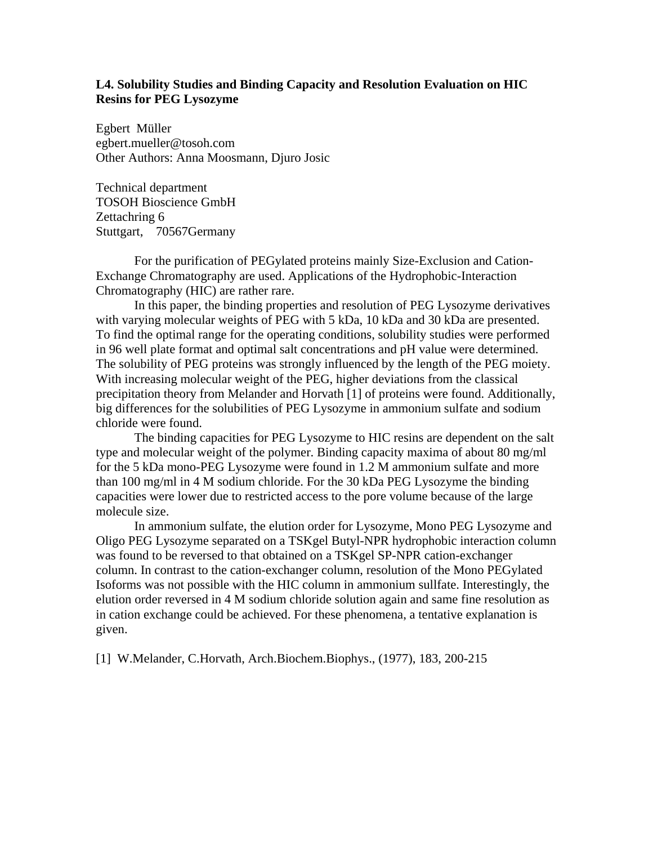### **L4. Solubility Studies and Binding Capacity and Resolution Evaluation on HIC Resins for PEG Lysozyme**

Egbert Müller egbert.mueller@tosoh.com Other Authors: Anna Moosmann, Djuro Josic

Technical department TOSOH Bioscience GmbH Zettachring 6 Stuttgart, 70567Germany

For the purification of PEGylated proteins mainly Size-Exclusion and Cation-Exchange Chromatography are used. Applications of the Hydrophobic-Interaction Chromatography (HIC) are rather rare.

In this paper, the binding properties and resolution of PEG Lysozyme derivatives with varying molecular weights of PEG with 5 kDa, 10 kDa and 30 kDa are presented. To find the optimal range for the operating conditions, solubility studies were performed in 96 well plate format and optimal salt concentrations and pH value were determined. The solubility of PEG proteins was strongly influenced by the length of the PEG moiety. With increasing molecular weight of the PEG, higher deviations from the classical precipitation theory from Melander and Horvath [1] of proteins were found. Additionally, big differences for the solubilities of PEG Lysozyme in ammonium sulfate and sodium chloride were found.

The binding capacities for PEG Lysozyme to HIC resins are dependent on the salt type and molecular weight of the polymer. Binding capacity maxima of about 80 mg/ml for the 5 kDa mono-PEG Lysozyme were found in 1.2 M ammonium sulfate and more than 100 mg/ml in 4 M sodium chloride. For the 30 kDa PEG Lysozyme the binding capacities were lower due to restricted access to the pore volume because of the large molecule size.

In ammonium sulfate, the elution order for Lysozyme, Mono PEG Lysozyme and Oligo PEG Lysozyme separated on a TSKgel Butyl-NPR hydrophobic interaction column was found to be reversed to that obtained on a TSKgel SP-NPR cation-exchanger column. In contrast to the cation-exchanger column, resolution of the Mono PEGylated Isoforms was not possible with the HIC column in ammonium sullfate. Interestingly, the elution order reversed in 4 M sodium chloride solution again and same fine resolution as in cation exchange could be achieved. For these phenomena, a tentative explanation is given.

[1] W.Melander, C.Horvath, Arch.Biochem.Biophys., (1977), 183, 200-215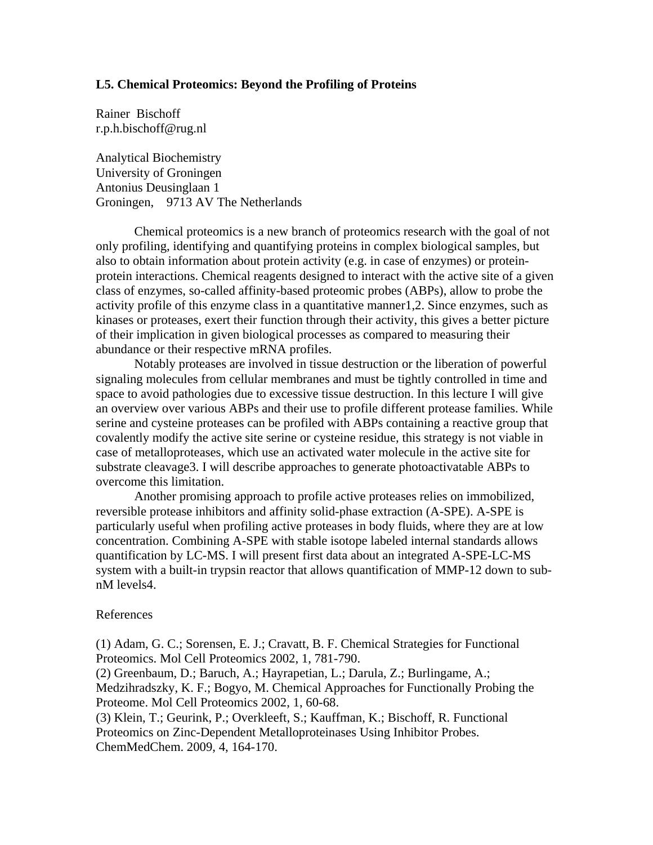#### **L5. Chemical Proteomics: Beyond the Profiling of Proteins**

Rainer Bischoff r.p.h.bischoff@rug.nl

Analytical Biochemistry University of Groningen Antonius Deusinglaan 1 Groningen, 9713 AV The Netherlands

 Chemical proteomics is a new branch of proteomics research with the goal of not only profiling, identifying and quantifying proteins in complex biological samples, but also to obtain information about protein activity (e.g. in case of enzymes) or proteinprotein interactions. Chemical reagents designed to interact with the active site of a given class of enzymes, so-called affinity-based proteomic probes (ABPs), allow to probe the activity profile of this enzyme class in a quantitative manner1,2. Since enzymes, such as kinases or proteases, exert their function through their activity, this gives a better picture of their implication in given biological processes as compared to measuring their abundance or their respective mRNA profiles.

 Notably proteases are involved in tissue destruction or the liberation of powerful signaling molecules from cellular membranes and must be tightly controlled in time and space to avoid pathologies due to excessive tissue destruction. In this lecture I will give an overview over various ABPs and their use to profile different protease families. While serine and cysteine proteases can be profiled with ABPs containing a reactive group that covalently modify the active site serine or cysteine residue, this strategy is not viable in case of metalloproteases, which use an activated water molecule in the active site for substrate cleavage3. I will describe approaches to generate photoactivatable ABPs to overcome this limitation.

 Another promising approach to profile active proteases relies on immobilized, reversible protease inhibitors and affinity solid-phase extraction (A-SPE). A-SPE is particularly useful when profiling active proteases in body fluids, where they are at low concentration. Combining A-SPE with stable isotope labeled internal standards allows quantification by LC-MS. I will present first data about an integrated A-SPE-LC-MS system with a built-in trypsin reactor that allows quantification of MMP-12 down to subnM levels4.

#### References

(1) Adam, G. C.; Sorensen, E. J.; Cravatt, B. F. Chemical Strategies for Functional Proteomics. Mol Cell Proteomics 2002, 1, 781-790. (2) Greenbaum, D.; Baruch, A.; Hayrapetian, L.; Darula, Z.; Burlingame, A.; Medzihradszky, K. F.; Bogyo, M. Chemical Approaches for Functionally Probing the Proteome. Mol Cell Proteomics 2002, 1, 60-68. (3) Klein, T.; Geurink, P.; Overkleeft, S.; Kauffman, K.; Bischoff, R. Functional Proteomics on Zinc-Dependent Metalloproteinases Using Inhibitor Probes. ChemMedChem. 2009, 4, 164-170.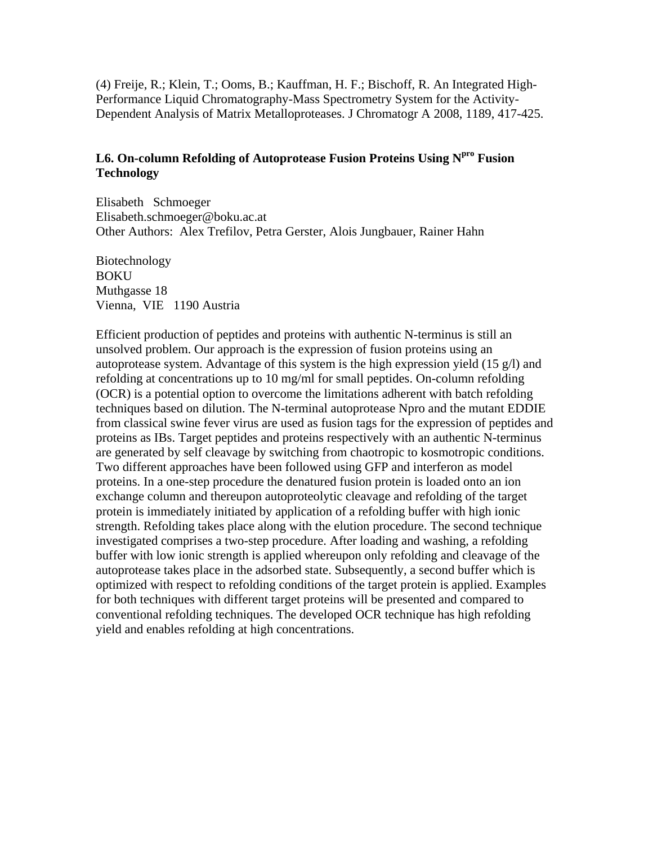(4) Freije, R.; Klein, T.; Ooms, B.; Kauffman, H. F.; Bischoff, R. An Integrated High-Performance Liquid Chromatography-Mass Spectrometry System for the Activity-Dependent Analysis of Matrix Metalloproteases. J Chromatogr A 2008, 1189, 417-425.

### L6. On-column Refolding of Autoprotease Fusion Proteins Using N<sup>pro</sup> Fusion **Technology**

Elisabeth Schmoeger Elisabeth.schmoeger@boku.ac.at Other Authors: Alex Trefilov, Petra Gerster, Alois Jungbauer, Rainer Hahn

Biotechnology BOKU Muthgasse 18 Vienna, VIE 1190 Austria

Efficient production of peptides and proteins with authentic N-terminus is still an unsolved problem. Our approach is the expression of fusion proteins using an autoprotease system. Advantage of this system is the high expression yield (15 g/l) and refolding at concentrations up to 10 mg/ml for small peptides. On-column refolding (OCR) is a potential option to overcome the limitations adherent with batch refolding techniques based on dilution. The N-terminal autoprotease Npro and the mutant EDDIE from classical swine fever virus are used as fusion tags for the expression of peptides and proteins as IBs. Target peptides and proteins respectively with an authentic N-terminus are generated by self cleavage by switching from chaotropic to kosmotropic conditions. Two different approaches have been followed using GFP and interferon as model proteins. In a one-step procedure the denatured fusion protein is loaded onto an ion exchange column and thereupon autoproteolytic cleavage and refolding of the target protein is immediately initiated by application of a refolding buffer with high ionic strength. Refolding takes place along with the elution procedure. The second technique investigated comprises a two-step procedure. After loading and washing, a refolding buffer with low ionic strength is applied whereupon only refolding and cleavage of the autoprotease takes place in the adsorbed state. Subsequently, a second buffer which is optimized with respect to refolding conditions of the target protein is applied. Examples for both techniques with different target proteins will be presented and compared to conventional refolding techniques. The developed OCR technique has high refolding yield and enables refolding at high concentrations.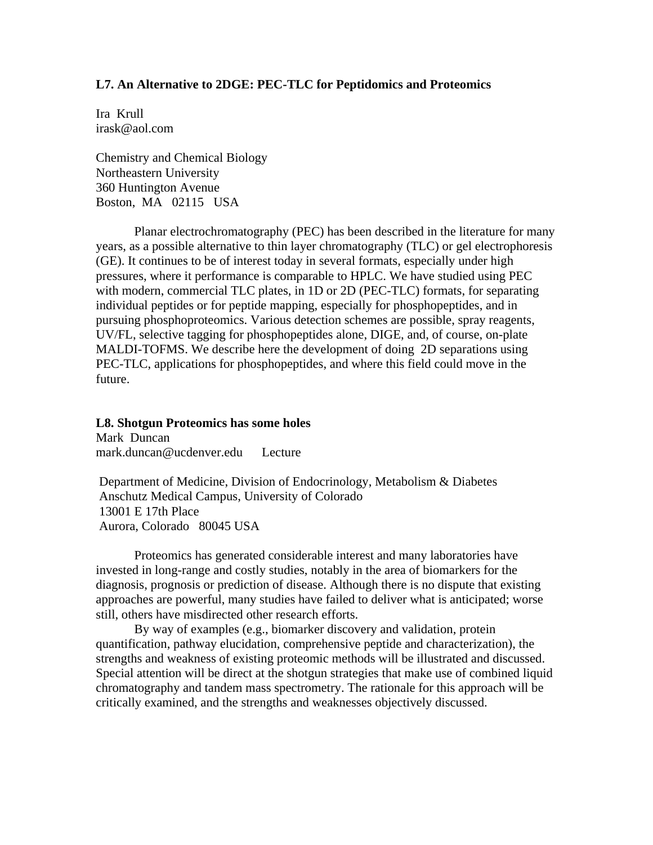#### **L7. An Alternative to 2DGE: PEC-TLC for Peptidomics and Proteomics**

Ira Krull irask@aol.com

Chemistry and Chemical Biology Northeastern University 360 Huntington Avenue Boston, MA 02115 USA

Planar electrochromatography (PEC) has been described in the literature for many years, as a possible alternative to thin layer chromatography (TLC) or gel electrophoresis (GE). It continues to be of interest today in several formats, especially under high pressures, where it performance is comparable to HPLC. We have studied using PEC with modern, commercial TLC plates, in 1D or 2D (PEC-TLC) formats, for separating individual peptides or for peptide mapping, especially for phosphopeptides, and in pursuing phosphoproteomics. Various detection schemes are possible, spray reagents, UV/FL, selective tagging for phosphopeptides alone, DIGE, and, of course, on-plate MALDI-TOFMS. We describe here the development of doing 2D separations using PEC-TLC, applications for phosphopeptides, and where this field could move in the future.

#### **L8. Shotgun Proteomics has some holes**

Mark Duncan mark.duncan@ucdenver.edu Lecture

 Department of Medicine, Division of Endocrinology, Metabolism & Diabetes Anschutz Medical Campus, University of Colorado 13001 E 17th Place Aurora, Colorado 80045 USA

Proteomics has generated considerable interest and many laboratories have invested in long-range and costly studies, notably in the area of biomarkers for the diagnosis, prognosis or prediction of disease. Although there is no dispute that existing approaches are powerful, many studies have failed to deliver what is anticipated; worse still, others have misdirected other research efforts.

By way of examples (e.g., biomarker discovery and validation, protein quantification, pathway elucidation, comprehensive peptide and characterization), the strengths and weakness of existing proteomic methods will be illustrated and discussed. Special attention will be direct at the shotgun strategies that make use of combined liquid chromatography and tandem mass spectrometry. The rationale for this approach will be critically examined, and the strengths and weaknesses objectively discussed.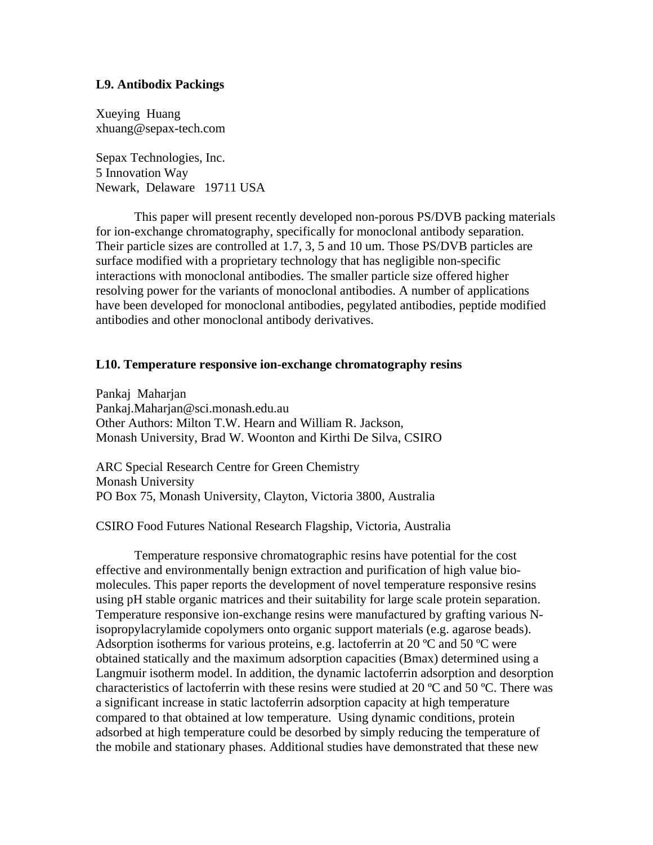#### **L9. Antibodix Packings**

Xueying Huang xhuang@sepax-tech.com

Sepax Technologies, Inc. 5 Innovation Way Newark, Delaware 19711 USA

This paper will present recently developed non-porous PS/DVB packing materials for ion-exchange chromatography, specifically for monoclonal antibody separation. Their particle sizes are controlled at 1.7, 3, 5 and 10 um. Those PS/DVB particles are surface modified with a proprietary technology that has negligible non-specific interactions with monoclonal antibodies. The smaller particle size offered higher resolving power for the variants of monoclonal antibodies. A number of applications have been developed for monoclonal antibodies, pegylated antibodies, peptide modified antibodies and other monoclonal antibody derivatives.

### **L10. Temperature responsive ion-exchange chromatography resins**

Pankaj Maharjan Pankaj.Maharjan@sci.monash.edu.au Other Authors: Milton T.W. Hearn and William R. Jackson, Monash University, Brad W. Woonton and Kirthi De Silva, CSIRO

ARC Special Research Centre for Green Chemistry Monash University PO Box 75, Monash University, Clayton, Victoria 3800, Australia

CSIRO Food Futures National Research Flagship, Victoria, Australia

Temperature responsive chromatographic resins have potential for the cost effective and environmentally benign extraction and purification of high value biomolecules. This paper reports the development of novel temperature responsive resins using pH stable organic matrices and their suitability for large scale protein separation. Temperature responsive ion-exchange resins were manufactured by grafting various Nisopropylacrylamide copolymers onto organic support materials (e.g. agarose beads). Adsorption isotherms for various proteins, e.g. lactoferrin at 20 °C and 50 °C were obtained statically and the maximum adsorption capacities (Bmax) determined using a Langmuir isotherm model. In addition, the dynamic lactoferrin adsorption and desorption characteristics of lactoferrin with these resins were studied at 20 ºC and 50 ºC. There was a significant increase in static lactoferrin adsorption capacity at high temperature compared to that obtained at low temperature. Using dynamic conditions, protein adsorbed at high temperature could be desorbed by simply reducing the temperature of the mobile and stationary phases. Additional studies have demonstrated that these new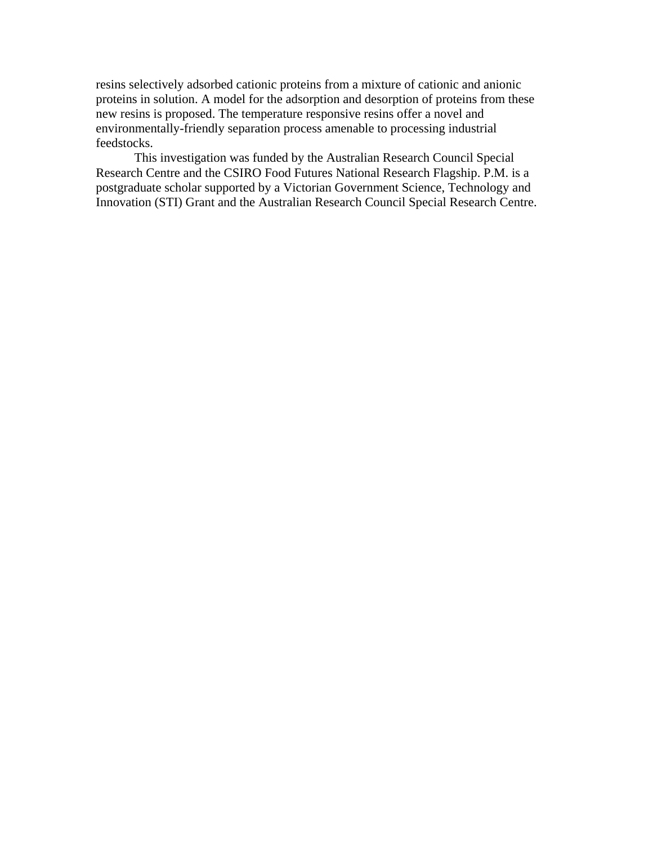resins selectively adsorbed cationic proteins from a mixture of cationic and anionic proteins in solution. A model for the adsorption and desorption of proteins from these new resins is proposed. The temperature responsive resins offer a novel and environmentally-friendly separation process amenable to processing industrial feedstocks.

This investigation was funded by the Australian Research Council Special Research Centre and the CSIRO Food Futures National Research Flagship. P.M. is a postgraduate scholar supported by a Victorian Government Science, Technology and Innovation (STI) Grant and the Australian Research Council Special Research Centre.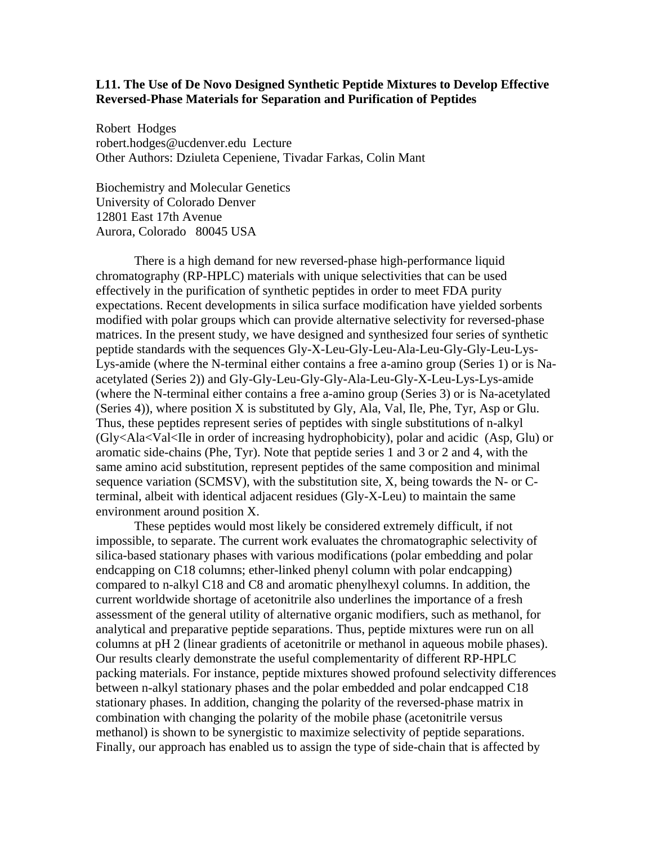### **L11. The Use of De Novo Designed Synthetic Peptide Mixtures to Develop Effective Reversed-Phase Materials for Separation and Purification of Peptides**

Robert Hodges robert.hodges@ucdenver.edu Lecture Other Authors: Dziuleta Cepeniene, Tivadar Farkas, Colin Mant

Biochemistry and Molecular Genetics University of Colorado Denver 12801 East 17th Avenue Aurora, Colorado 80045 USA

There is a high demand for new reversed-phase high-performance liquid chromatography (RP-HPLC) materials with unique selectivities that can be used effectively in the purification of synthetic peptides in order to meet FDA purity expectations. Recent developments in silica surface modification have yielded sorbents modified with polar groups which can provide alternative selectivity for reversed-phase matrices. In the present study, we have designed and synthesized four series of synthetic peptide standards with the sequences Gly-X-Leu-Gly-Leu-Ala-Leu-Gly-Gly-Leu-Lys-Lys-amide (where the N-terminal either contains a free a-amino group (Series 1) or is Naacetylated (Series 2)) and Gly-Gly-Leu-Gly-Gly-Ala-Leu-Gly-X-Leu-Lys-Lys-amide (where the N-terminal either contains a free a-amino group (Series 3) or is Na-acetylated (Series 4)), where position X is substituted by Gly, Ala, Val, Ile, Phe, Tyr, Asp or Glu. Thus, these peptides represent series of peptides with single substitutions of n-alkyl (Gly<Ala<Val<Ile in order of increasing hydrophobicity), polar and acidic (Asp, Glu) or aromatic side-chains (Phe, Tyr). Note that peptide series 1 and 3 or 2 and 4, with the same amino acid substitution, represent peptides of the same composition and minimal sequence variation (SCMSV), with the substitution site, X, being towards the N- or Cterminal, albeit with identical adjacent residues (Gly-X-Leu) to maintain the same environment around position X.

These peptides would most likely be considered extremely difficult, if not impossible, to separate. The current work evaluates the chromatographic selectivity of silica-based stationary phases with various modifications (polar embedding and polar endcapping on C18 columns; ether-linked phenyl column with polar endcapping) compared to n-alkyl C18 and C8 and aromatic phenylhexyl columns. In addition, the current worldwide shortage of acetonitrile also underlines the importance of a fresh assessment of the general utility of alternative organic modifiers, such as methanol, for analytical and preparative peptide separations. Thus, peptide mixtures were run on all columns at pH 2 (linear gradients of acetonitrile or methanol in aqueous mobile phases). Our results clearly demonstrate the useful complementarity of different RP-HPLC packing materials. For instance, peptide mixtures showed profound selectivity differences between n-alkyl stationary phases and the polar embedded and polar endcapped C18 stationary phases. In addition, changing the polarity of the reversed-phase matrix in combination with changing the polarity of the mobile phase (acetonitrile versus methanol) is shown to be synergistic to maximize selectivity of peptide separations. Finally, our approach has enabled us to assign the type of side-chain that is affected by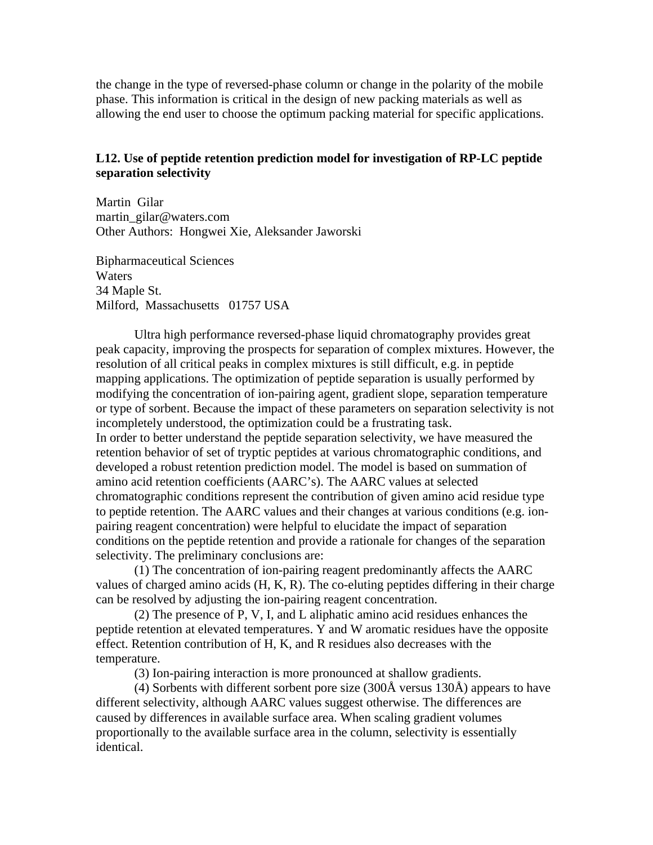the change in the type of reversed-phase column or change in the polarity of the mobile phase. This information is critical in the design of new packing materials as well as allowing the end user to choose the optimum packing material for specific applications.

## **L12. Use of peptide retention prediction model for investigation of RP-LC peptide separation selectivity**

Martin Gilar martin\_gilar@waters.com Other Authors: Hongwei Xie, Aleksander Jaworski

Bipharmaceutical Sciences Waters 34 Maple St. Milford, Massachusetts 01757 USA

Ultra high performance reversed-phase liquid chromatography provides great peak capacity, improving the prospects for separation of complex mixtures. However, the resolution of all critical peaks in complex mixtures is still difficult, e.g. in peptide mapping applications. The optimization of peptide separation is usually performed by modifying the concentration of ion-pairing agent, gradient slope, separation temperature or type of sorbent. Because the impact of these parameters on separation selectivity is not incompletely understood, the optimization could be a frustrating task. In order to better understand the peptide separation selectivity, we have measured the retention behavior of set of tryptic peptides at various chromatographic conditions, and developed a robust retention prediction model. The model is based on summation of amino acid retention coefficients (AARC's). The AARC values at selected chromatographic conditions represent the contribution of given amino acid residue type to peptide retention. The AARC values and their changes at various conditions (e.g. ionpairing reagent concentration) were helpful to elucidate the impact of separation conditions on the peptide retention and provide a rationale for changes of the separation selectivity. The preliminary conclusions are:

(1) The concentration of ion-pairing reagent predominantly affects the AARC values of charged amino acids (H, K, R). The co-eluting peptides differing in their charge can be resolved by adjusting the ion-pairing reagent concentration.

(2) The presence of P, V, I, and L aliphatic amino acid residues enhances the peptide retention at elevated temperatures. Y and W aromatic residues have the opposite effect. Retention contribution of H, K, and R residues also decreases with the temperature.

(3) Ion-pairing interaction is more pronounced at shallow gradients.

(4) Sorbents with different sorbent pore size (300Å versus 130Å) appears to have different selectivity, although AARC values suggest otherwise. The differences are caused by differences in available surface area. When scaling gradient volumes proportionally to the available surface area in the column, selectivity is essentially identical.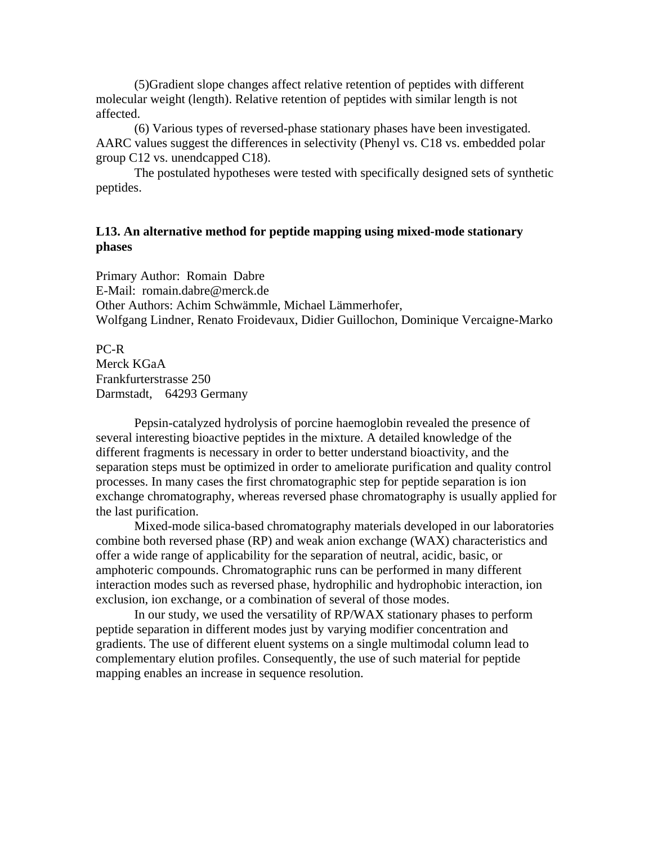(5)Gradient slope changes affect relative retention of peptides with different molecular weight (length). Relative retention of peptides with similar length is not affected.

(6) Various types of reversed-phase stationary phases have been investigated. AARC values suggest the differences in selectivity (Phenyl vs. C18 vs. embedded polar group C12 vs. unendcapped C18).

The postulated hypotheses were tested with specifically designed sets of synthetic peptides.

### **L13. An alternative method for peptide mapping using mixed-mode stationary phases**

Primary Author: Romain Dabre E-Mail: romain.dabre@merck.de Other Authors: Achim Schwämmle, Michael Lämmerhofer, Wolfgang Lindner, Renato Froidevaux, Didier Guillochon, Dominique Vercaigne-Marko

# PC-R

Merck KGaA Frankfurterstrasse 250 Darmstadt, 64293 Germany

Pepsin-catalyzed hydrolysis of porcine haemoglobin revealed the presence of several interesting bioactive peptides in the mixture. A detailed knowledge of the different fragments is necessary in order to better understand bioactivity, and the separation steps must be optimized in order to ameliorate purification and quality control processes. In many cases the first chromatographic step for peptide separation is ion exchange chromatography, whereas reversed phase chromatography is usually applied for the last purification.

Mixed-mode silica-based chromatography materials developed in our laboratories combine both reversed phase (RP) and weak anion exchange (WAX) characteristics and offer a wide range of applicability for the separation of neutral, acidic, basic, or amphoteric compounds. Chromatographic runs can be performed in many different interaction modes such as reversed phase, hydrophilic and hydrophobic interaction, ion exclusion, ion exchange, or a combination of several of those modes.

In our study, we used the versatility of RP/WAX stationary phases to perform peptide separation in different modes just by varying modifier concentration and gradients. The use of different eluent systems on a single multimodal column lead to complementary elution profiles. Consequently, the use of such material for peptide mapping enables an increase in sequence resolution.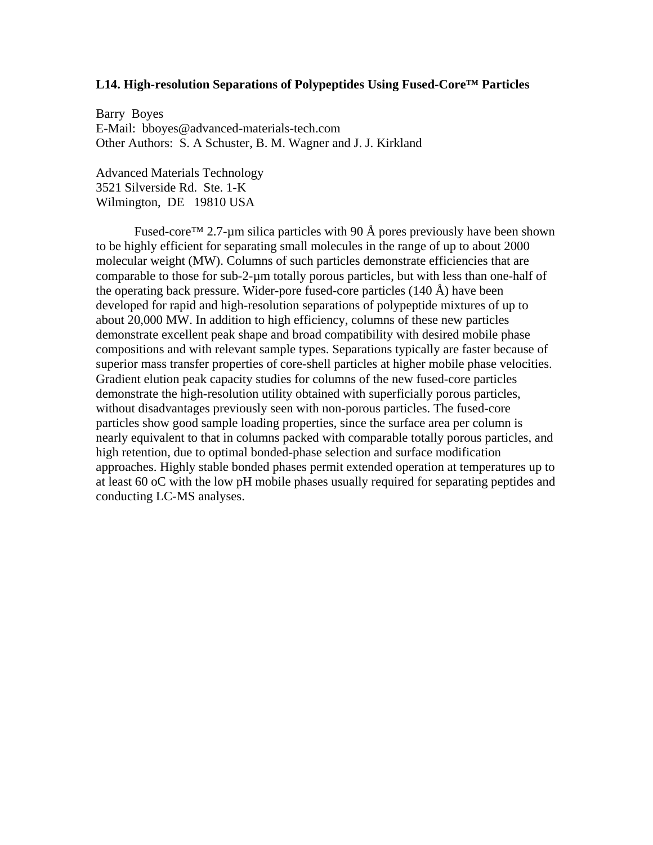#### **L14. High-resolution Separations of Polypeptides Using Fused-Core™ Particles**

Barry Boyes E-Mail: bboyes@advanced-materials-tech.com Other Authors: S. A Schuster, B. M. Wagner and J. J. Kirkland

Advanced Materials Technology 3521 Silverside Rd. Ste. 1-K Wilmington, DE 19810 USA

Fused-core<sup>TM</sup> 2.7-µm silica particles with 90 Å pores previously have been shown to be highly efficient for separating small molecules in the range of up to about 2000 molecular weight (MW). Columns of such particles demonstrate efficiencies that are comparable to those for sub-2-µm totally porous particles, but with less than one-half of the operating back pressure. Wider-pore fused-core particles (140 Å) have been developed for rapid and high-resolution separations of polypeptide mixtures of up to about 20,000 MW. In addition to high efficiency, columns of these new particles demonstrate excellent peak shape and broad compatibility with desired mobile phase compositions and with relevant sample types. Separations typically are faster because of superior mass transfer properties of core-shell particles at higher mobile phase velocities. Gradient elution peak capacity studies for columns of the new fused-core particles demonstrate the high-resolution utility obtained with superficially porous particles, without disadvantages previously seen with non-porous particles. The fused-core particles show good sample loading properties, since the surface area per column is nearly equivalent to that in columns packed with comparable totally porous particles, and high retention, due to optimal bonded-phase selection and surface modification approaches. Highly stable bonded phases permit extended operation at temperatures up to at least 60 oC with the low pH mobile phases usually required for separating peptides and conducting LC-MS analyses.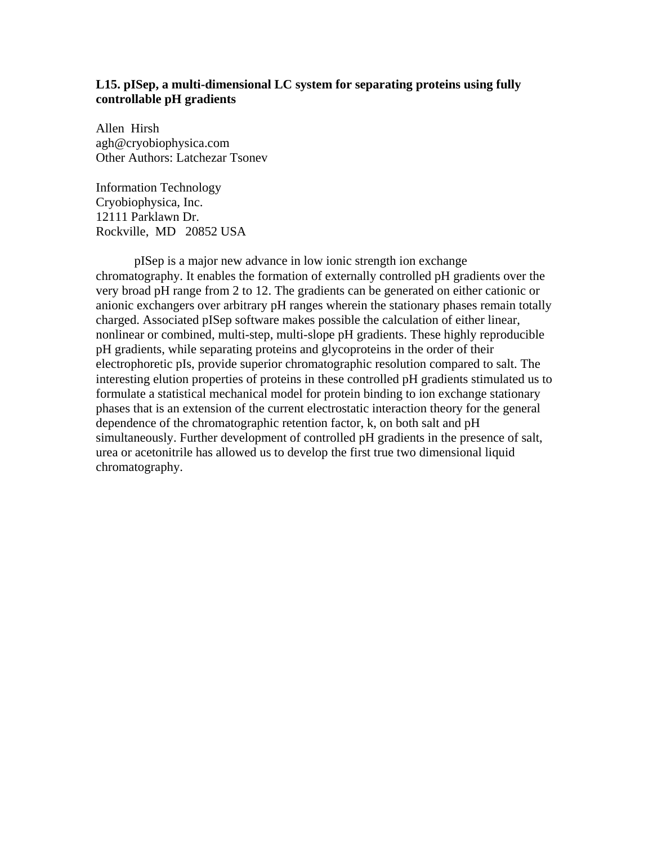### **L15. pISep, a multi-dimensional LC system for separating proteins using fully controllable pH gradients**

Allen Hirsh agh@cryobiophysica.com Other Authors: Latchezar Tsonev

Information Technology Cryobiophysica, Inc. 12111 Parklawn Dr. Rockville, MD 20852 USA

pISep is a major new advance in low ionic strength ion exchange chromatography. It enables the formation of externally controlled pH gradients over the very broad pH range from 2 to 12. The gradients can be generated on either cationic or anionic exchangers over arbitrary pH ranges wherein the stationary phases remain totally charged. Associated pISep software makes possible the calculation of either linear, nonlinear or combined, multi-step, multi-slope pH gradients. These highly reproducible pH gradients, while separating proteins and glycoproteins in the order of their electrophoretic pIs, provide superior chromatographic resolution compared to salt. The interesting elution properties of proteins in these controlled pH gradients stimulated us to formulate a statistical mechanical model for protein binding to ion exchange stationary phases that is an extension of the current electrostatic interaction theory for the general dependence of the chromatographic retention factor, k, on both salt and pH simultaneously. Further development of controlled pH gradients in the presence of salt, urea or acetonitrile has allowed us to develop the first true two dimensional liquid chromatography.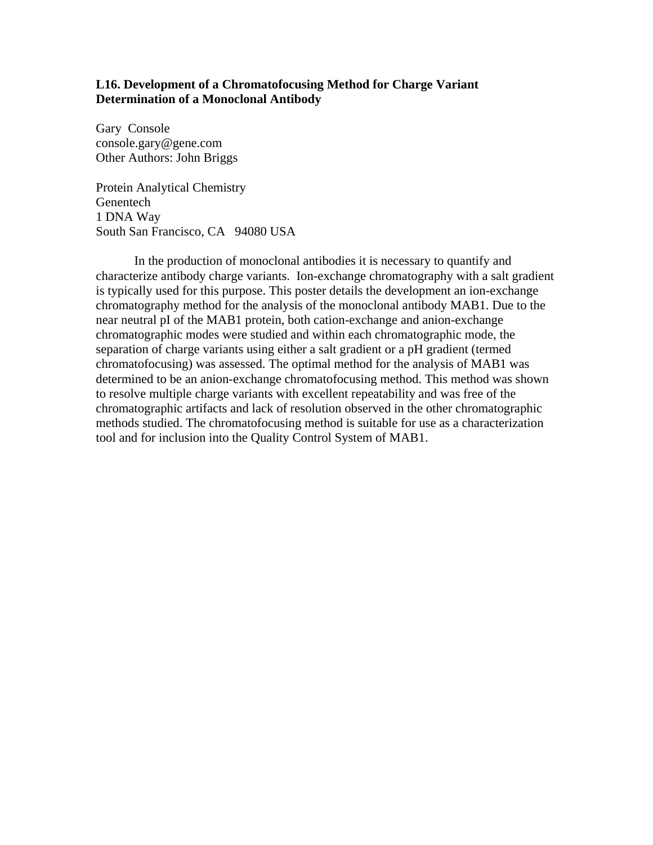### **L16. Development of a Chromatofocusing Method for Charge Variant Determination of a Monoclonal Antibody**

Gary Console console.gary@gene.com Other Authors: John Briggs

Protein Analytical Chemistry Genentech 1 DNA Way South San Francisco, CA 94080 USA

In the production of monoclonal antibodies it is necessary to quantify and characterize antibody charge variants. Ion-exchange chromatography with a salt gradient is typically used for this purpose. This poster details the development an ion-exchange chromatography method for the analysis of the monoclonal antibody MAB1. Due to the near neutral pI of the MAB1 protein, both cation-exchange and anion-exchange chromatographic modes were studied and within each chromatographic mode, the separation of charge variants using either a salt gradient or a pH gradient (termed chromatofocusing) was assessed. The optimal method for the analysis of MAB1 was determined to be an anion-exchange chromatofocusing method. This method was shown to resolve multiple charge variants with excellent repeatability and was free of the chromatographic artifacts and lack of resolution observed in the other chromatographic methods studied. The chromatofocusing method is suitable for use as a characterization tool and for inclusion into the Quality Control System of MAB1.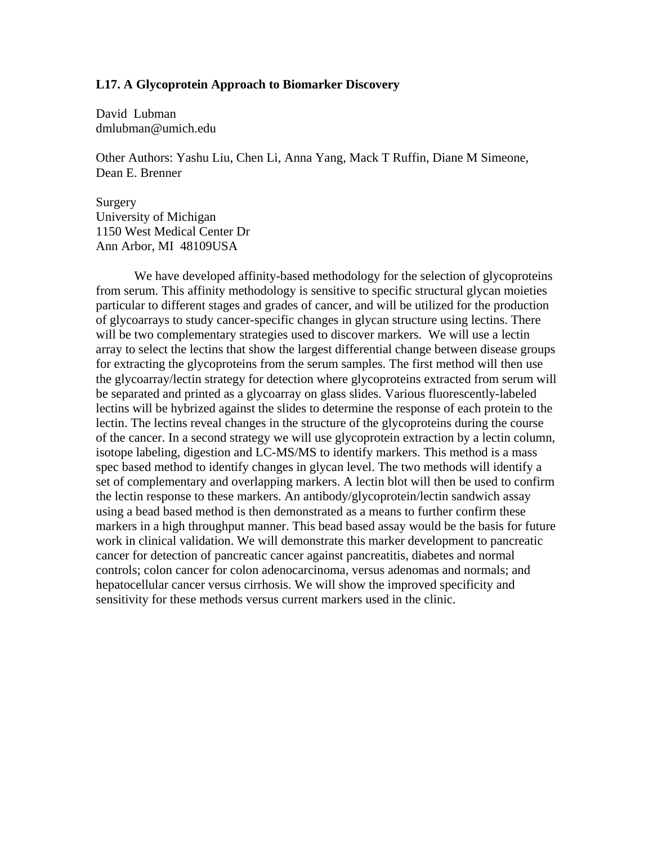#### **L17. A Glycoprotein Approach to Biomarker Discovery**

David Lubman dmlubman@umich.edu

Other Authors: Yashu Liu, Chen Li, Anna Yang, Mack T Ruffin, Diane M Simeone, Dean E. Brenner

Surgery University of Michigan 1150 West Medical Center Dr Ann Arbor, MI 48109USA

We have developed affinity-based methodology for the selection of glycoproteins from serum. This affinity methodology is sensitive to specific structural glycan moieties particular to different stages and grades of cancer, and will be utilized for the production of glycoarrays to study cancer-specific changes in glycan structure using lectins. There will be two complementary strategies used to discover markers. We will use a lectin array to select the lectins that show the largest differential change between disease groups for extracting the glycoproteins from the serum samples. The first method will then use the glycoarray/lectin strategy for detection where glycoproteins extracted from serum will be separated and printed as a glycoarray on glass slides. Various fluorescently-labeled lectins will be hybrized against the slides to determine the response of each protein to the lectin. The lectins reveal changes in the structure of the glycoproteins during the course of the cancer. In a second strategy we will use glycoprotein extraction by a lectin column, isotope labeling, digestion and LC-MS/MS to identify markers. This method is a mass spec based method to identify changes in glycan level. The two methods will identify a set of complementary and overlapping markers. A lectin blot will then be used to confirm the lectin response to these markers. An antibody/glycoprotein/lectin sandwich assay using a bead based method is then demonstrated as a means to further confirm these markers in a high throughput manner. This bead based assay would be the basis for future work in clinical validation. We will demonstrate this marker development to pancreatic cancer for detection of pancreatic cancer against pancreatitis, diabetes and normal controls; colon cancer for colon adenocarcinoma, versus adenomas and normals; and hepatocellular cancer versus cirrhosis. We will show the improved specificity and sensitivity for these methods versus current markers used in the clinic.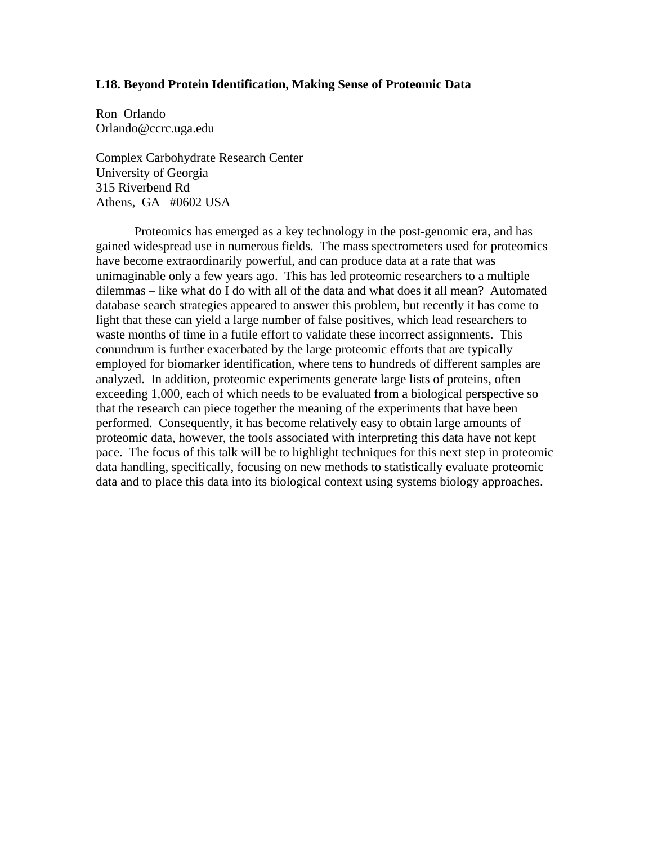#### **L18. Beyond Protein Identification, Making Sense of Proteomic Data**

Ron Orlando Orlando@ccrc.uga.edu

Complex Carbohydrate Research Center University of Georgia 315 Riverbend Rd Athens, GA #0602 USA

Proteomics has emerged as a key technology in the post-genomic era, and has gained widespread use in numerous fields. The mass spectrometers used for proteomics have become extraordinarily powerful, and can produce data at a rate that was unimaginable only a few years ago. This has led proteomic researchers to a multiple dilemmas – like what do I do with all of the data and what does it all mean? Automated database search strategies appeared to answer this problem, but recently it has come to light that these can yield a large number of false positives, which lead researchers to waste months of time in a futile effort to validate these incorrect assignments. This conundrum is further exacerbated by the large proteomic efforts that are typically employed for biomarker identification, where tens to hundreds of different samples are analyzed. In addition, proteomic experiments generate large lists of proteins, often exceeding 1,000, each of which needs to be evaluated from a biological perspective so that the research can piece together the meaning of the experiments that have been performed. Consequently, it has become relatively easy to obtain large amounts of proteomic data, however, the tools associated with interpreting this data have not kept pace. The focus of this talk will be to highlight techniques for this next step in proteomic data handling, specifically, focusing on new methods to statistically evaluate proteomic data and to place this data into its biological context using systems biology approaches.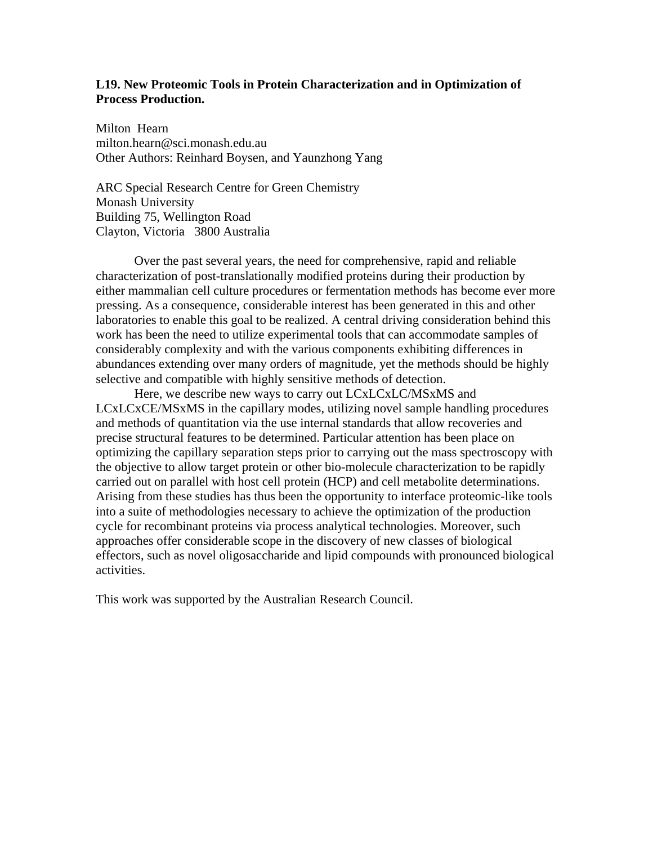### **L19. New Proteomic Tools in Protein Characterization and in Optimization of Process Production.**

Milton Hearn milton.hearn@sci.monash.edu.au Other Authors: Reinhard Boysen, and Yaunzhong Yang

ARC Special Research Centre for Green Chemistry Monash University Building 75, Wellington Road Clayton, Victoria 3800 Australia

Over the past several years, the need for comprehensive, rapid and reliable characterization of post-translationally modified proteins during their production by either mammalian cell culture procedures or fermentation methods has become ever more pressing. As a consequence, considerable interest has been generated in this and other laboratories to enable this goal to be realized. A central driving consideration behind this work has been the need to utilize experimental tools that can accommodate samples of considerably complexity and with the various components exhibiting differences in abundances extending over many orders of magnitude, yet the methods should be highly selective and compatible with highly sensitive methods of detection.

Here, we describe new ways to carry out LCxLCxLC/MSxMS and LCxLCxCE/MSxMS in the capillary modes, utilizing novel sample handling procedures and methods of quantitation via the use internal standards that allow recoveries and precise structural features to be determined. Particular attention has been place on optimizing the capillary separation steps prior to carrying out the mass spectroscopy with the objective to allow target protein or other bio-molecule characterization to be rapidly carried out on parallel with host cell protein (HCP) and cell metabolite determinations. Arising from these studies has thus been the opportunity to interface proteomic-like tools into a suite of methodologies necessary to achieve the optimization of the production cycle for recombinant proteins via process analytical technologies. Moreover, such approaches offer considerable scope in the discovery of new classes of biological effectors, such as novel oligosaccharide and lipid compounds with pronounced biological activities.

This work was supported by the Australian Research Council.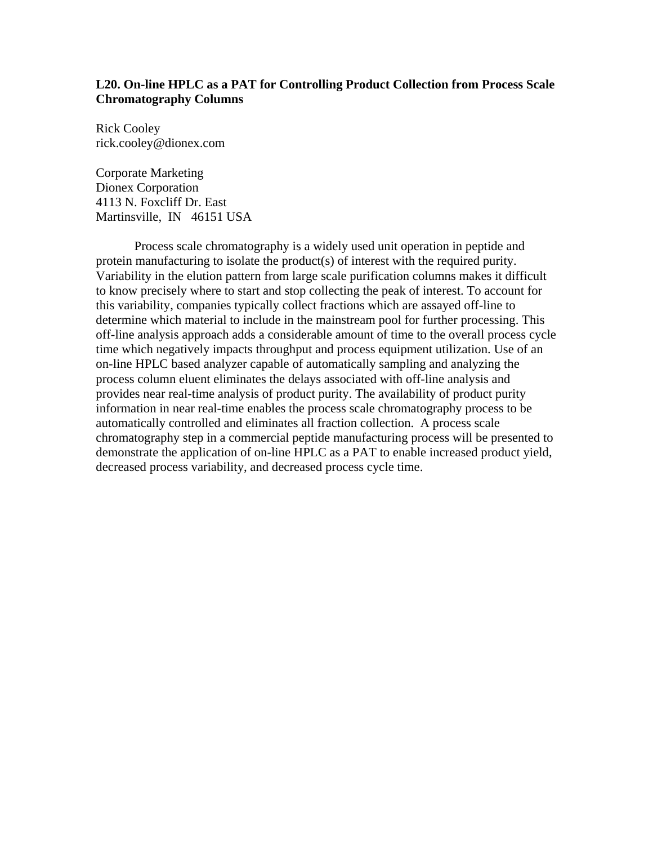### **L20. On-line HPLC as a PAT for Controlling Product Collection from Process Scale Chromatography Columns**

Rick Cooley rick.cooley@dionex.com

Corporate Marketing Dionex Corporation 4113 N. Foxcliff Dr. East Martinsville, IN 46151 USA

Process scale chromatography is a widely used unit operation in peptide and protein manufacturing to isolate the product(s) of interest with the required purity. Variability in the elution pattern from large scale purification columns makes it difficult to know precisely where to start and stop collecting the peak of interest. To account for this variability, companies typically collect fractions which are assayed off-line to determine which material to include in the mainstream pool for further processing. This off-line analysis approach adds a considerable amount of time to the overall process cycle time which negatively impacts throughput and process equipment utilization. Use of an on-line HPLC based analyzer capable of automatically sampling and analyzing the process column eluent eliminates the delays associated with off-line analysis and provides near real-time analysis of product purity. The availability of product purity information in near real-time enables the process scale chromatography process to be automatically controlled and eliminates all fraction collection. A process scale chromatography step in a commercial peptide manufacturing process will be presented to demonstrate the application of on-line HPLC as a PAT to enable increased product yield, decreased process variability, and decreased process cycle time.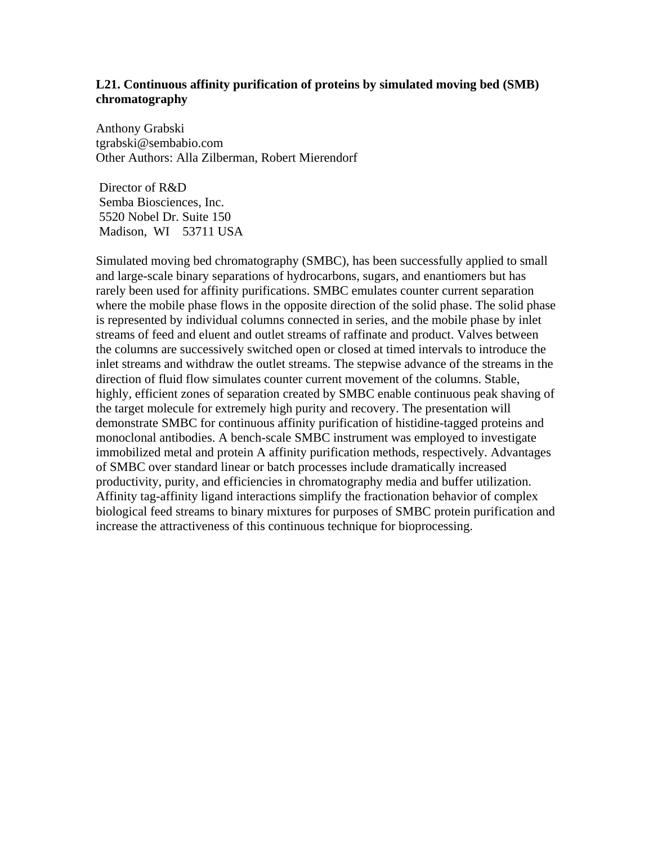## **L21. Continuous affinity purification of proteins by simulated moving bed (SMB) chromatography**

Anthony Grabski tgrabski@sembabio.com Other Authors: Alla Zilberman, Robert Mierendorf

 Director of R&D Semba Biosciences, Inc. 5520 Nobel Dr. Suite 150 Madison, WI 53711 USA

Simulated moving bed chromatography (SMBC), has been successfully applied to small and large-scale binary separations of hydrocarbons, sugars, and enantiomers but has rarely been used for affinity purifications. SMBC emulates counter current separation where the mobile phase flows in the opposite direction of the solid phase. The solid phase is represented by individual columns connected in series, and the mobile phase by inlet streams of feed and eluent and outlet streams of raffinate and product. Valves between the columns are successively switched open or closed at timed intervals to introduce the inlet streams and withdraw the outlet streams. The stepwise advance of the streams in the direction of fluid flow simulates counter current movement of the columns. Stable, highly, efficient zones of separation created by SMBC enable continuous peak shaving of the target molecule for extremely high purity and recovery. The presentation will demonstrate SMBC for continuous affinity purification of histidine-tagged proteins and monoclonal antibodies. A bench-scale SMBC instrument was employed to investigate immobilized metal and protein A affinity purification methods, respectively. Advantages of SMBC over standard linear or batch processes include dramatically increased productivity, purity, and efficiencies in chromatography media and buffer utilization. Affinity tag-affinity ligand interactions simplify the fractionation behavior of complex biological feed streams to binary mixtures for purposes of SMBC protein purification and increase the attractiveness of this continuous technique for bioprocessing.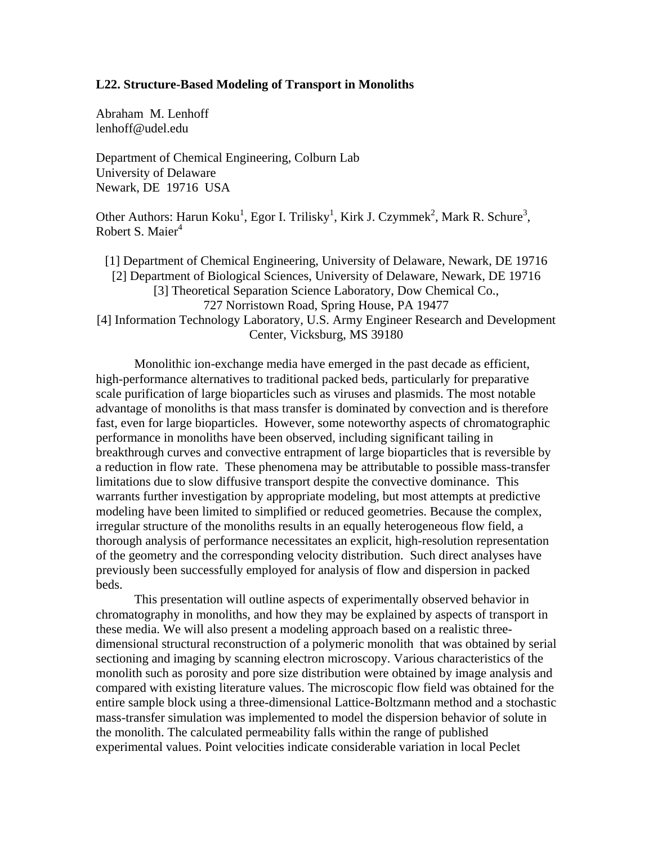#### **L22. Structure-Based Modeling of Transport in Monoliths**

Abraham M. Lenhoff lenhoff@udel.edu

Department of Chemical Engineering, Colburn Lab University of Delaware Newark, DE 19716 USA

Other Authors: Harun Koku<sup>1</sup>, Egor I. Trilisky<sup>1</sup>, Kirk J. Czymmek<sup>2</sup>, Mark R. Schure<sup>3</sup>, Robert S. Maier $<sup>4</sup>$ </sup>

[1] Department of Chemical Engineering, University of Delaware, Newark, DE 19716 [2] Department of Biological Sciences, University of Delaware, Newark, DE 19716 [3] Theoretical Separation Science Laboratory, Dow Chemical Co., 727 Norristown Road, Spring House, PA 19477 [4] Information Technology Laboratory, U.S. Army Engineer Research and Development Center, Vicksburg, MS 39180

Monolithic ion-exchange media have emerged in the past decade as efficient, high-performance alternatives to traditional packed beds, particularly for preparative scale purification of large bioparticles such as viruses and plasmids. The most notable advantage of monoliths is that mass transfer is dominated by convection and is therefore fast, even for large bioparticles. However, some noteworthy aspects of chromatographic performance in monoliths have been observed, including significant tailing in breakthrough curves and convective entrapment of large bioparticles that is reversible by a reduction in flow rate. These phenomena may be attributable to possible mass-transfer limitations due to slow diffusive transport despite the convective dominance. This warrants further investigation by appropriate modeling, but most attempts at predictive modeling have been limited to simplified or reduced geometries. Because the complex, irregular structure of the monoliths results in an equally heterogeneous flow field, a thorough analysis of performance necessitates an explicit, high-resolution representation of the geometry and the corresponding velocity distribution. Such direct analyses have previously been successfully employed for analysis of flow and dispersion in packed beds.

This presentation will outline aspects of experimentally observed behavior in chromatography in monoliths, and how they may be explained by aspects of transport in these media. We will also present a modeling approach based on a realistic threedimensional structural reconstruction of a polymeric monolith that was obtained by serial sectioning and imaging by scanning electron microscopy. Various characteristics of the monolith such as porosity and pore size distribution were obtained by image analysis and compared with existing literature values. The microscopic flow field was obtained for the entire sample block using a three-dimensional Lattice-Boltzmann method and a stochastic mass-transfer simulation was implemented to model the dispersion behavior of solute in the monolith. The calculated permeability falls within the range of published experimental values. Point velocities indicate considerable variation in local Peclet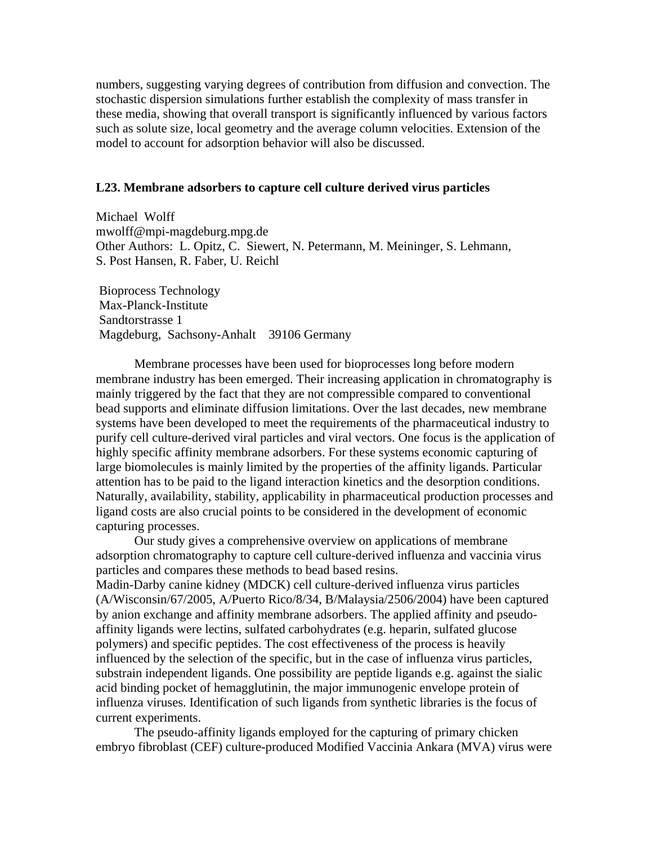numbers, suggesting varying degrees of contribution from diffusion and convection. The stochastic dispersion simulations further establish the complexity of mass transfer in these media, showing that overall transport is significantly influenced by various factors such as solute size, local geometry and the average column velocities. Extension of the model to account for adsorption behavior will also be discussed.

#### **L23. Membrane adsorbers to capture cell culture derived virus particles**

Michael Wolff mwolff@mpi-magdeburg.mpg.de Other Authors: L. Opitz, C. Siewert, N. Petermann, M. Meininger, S. Lehmann, S. Post Hansen, R. Faber, U. Reichl

 Bioprocess Technology Max-Planck-Institute Sandtorstrasse 1 Magdeburg, Sachsony-Anhalt 39106 Germany

Membrane processes have been used for bioprocesses long before modern membrane industry has been emerged. Their increasing application in chromatography is mainly triggered by the fact that they are not compressible compared to conventional bead supports and eliminate diffusion limitations. Over the last decades, new membrane systems have been developed to meet the requirements of the pharmaceutical industry to purify cell culture-derived viral particles and viral vectors. One focus is the application of highly specific affinity membrane adsorbers. For these systems economic capturing of large biomolecules is mainly limited by the properties of the affinity ligands. Particular attention has to be paid to the ligand interaction kinetics and the desorption conditions. Naturally, availability, stability, applicability in pharmaceutical production processes and ligand costs are also crucial points to be considered in the development of economic capturing processes.

Our study gives a comprehensive overview on applications of membrane adsorption chromatography to capture cell culture-derived influenza and vaccinia virus particles and compares these methods to bead based resins. Madin-Darby canine kidney (MDCK) cell culture-derived influenza virus particles (A/Wisconsin/67/2005, A/Puerto Rico/8/34, B/Malaysia/2506/2004) have been captured by anion exchange and affinity membrane adsorbers. The applied affinity and pseudoaffinity ligands were lectins, sulfated carbohydrates (e.g. heparin, sulfated glucose polymers) and specific peptides. The cost effectiveness of the process is heavily influenced by the selection of the specific, but in the case of influenza virus particles, substrain independent ligands. One possibility are peptide ligands e.g. against the sialic acid binding pocket of hemagglutinin, the major immunogenic envelope protein of influenza viruses. Identification of such ligands from synthetic libraries is the focus of current experiments.

The pseudo-affinity ligands employed for the capturing of primary chicken embryo fibroblast (CEF) culture-produced Modified Vaccinia Ankara (MVA) virus were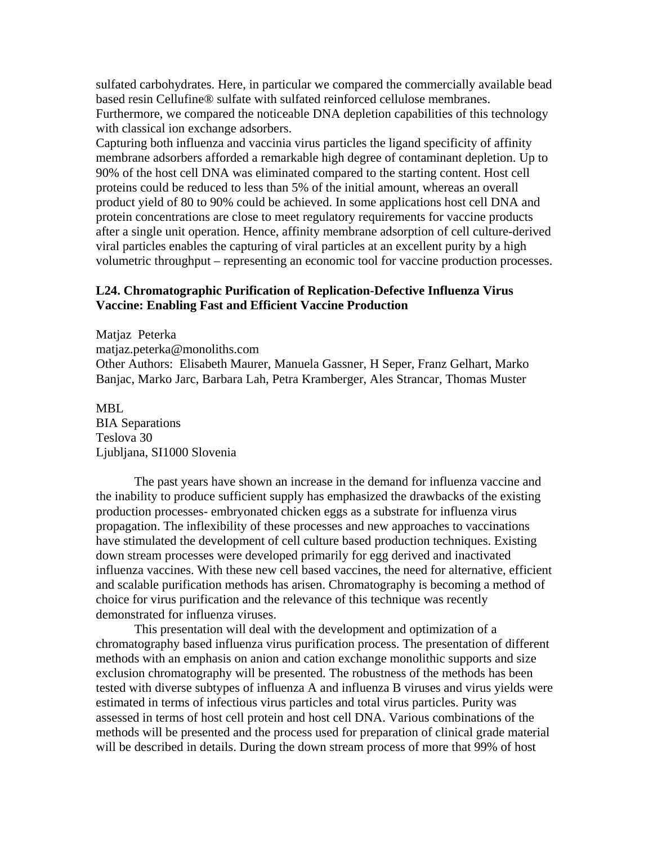sulfated carbohydrates. Here, in particular we compared the commercially available bead based resin Cellufine® sulfate with sulfated reinforced cellulose membranes. Furthermore, we compared the noticeable DNA depletion capabilities of this technology with classical ion exchange adsorbers.

Capturing both influenza and vaccinia virus particles the ligand specificity of affinity membrane adsorbers afforded a remarkable high degree of contaminant depletion. Up to 90% of the host cell DNA was eliminated compared to the starting content. Host cell proteins could be reduced to less than 5% of the initial amount, whereas an overall product yield of 80 to 90% could be achieved. In some applications host cell DNA and protein concentrations are close to meet regulatory requirements for vaccine products after a single unit operation. Hence, affinity membrane adsorption of cell culture-derived viral particles enables the capturing of viral particles at an excellent purity by a high volumetric throughput – representing an economic tool for vaccine production processes.

### **L24. Chromatographic Purification of Replication-Defective Influenza Virus Vaccine: Enabling Fast and Efficient Vaccine Production**

Matjaz Peterka matjaz.peterka@monoliths.com Other Authors: Elisabeth Maurer, Manuela Gassner, H Seper, Franz Gelhart, Marko Banjac, Marko Jarc, Barbara Lah, Petra Kramberger, Ales Strancar, Thomas Muster

MBL BIA Separations Teslova 30 Ljubljana, SI1000 Slovenia

The past years have shown an increase in the demand for influenza vaccine and the inability to produce sufficient supply has emphasized the drawbacks of the existing production processes- embryonated chicken eggs as a substrate for influenza virus propagation. The inflexibility of these processes and new approaches to vaccinations have stimulated the development of cell culture based production techniques. Existing down stream processes were developed primarily for egg derived and inactivated influenza vaccines. With these new cell based vaccines, the need for alternative, efficient and scalable purification methods has arisen. Chromatography is becoming a method of choice for virus purification and the relevance of this technique was recently demonstrated for influenza viruses.

This presentation will deal with the development and optimization of a chromatography based influenza virus purification process. The presentation of different methods with an emphasis on anion and cation exchange monolithic supports and size exclusion chromatography will be presented. The robustness of the methods has been tested with diverse subtypes of influenza A and influenza B viruses and virus yields were estimated in terms of infectious virus particles and total virus particles. Purity was assessed in terms of host cell protein and host cell DNA. Various combinations of the methods will be presented and the process used for preparation of clinical grade material will be described in details. During the down stream process of more that 99% of host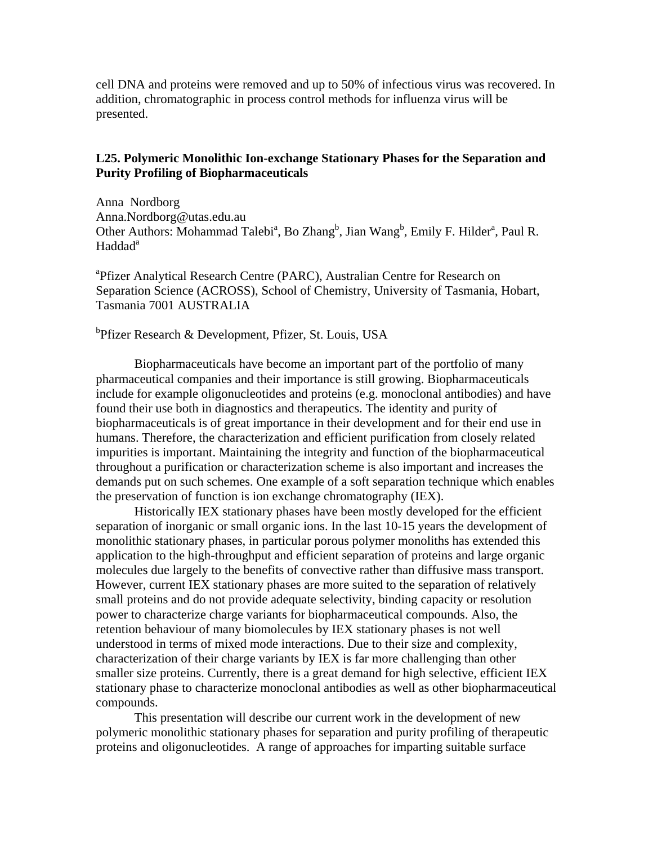cell DNA and proteins were removed and up to 50% of infectious virus was recovered. In addition, chromatographic in process control methods for influenza virus will be presented.

### **L25. Polymeric Monolithic Ion-exchange Stationary Phases for the Separation and Purity Profiling of Biopharmaceuticals**

Anna Nordborg Anna.Nordborg@utas.edu.au Other Authors: Mohammad Talebi<sup>a</sup>, Bo Zhang<sup>b</sup>, Jian Wang<sup>b</sup>, Emily F. Hilder<sup>a</sup>, Paul R. Haddad<sup>a</sup>

<sup>a</sup>Pfizer Analytical Research Centre (PARC), Australian Centre for Research on Separation Science (ACROSS), School of Chemistry, University of Tasmania, Hobart, Tasmania 7001 AUSTRALIA

# <sup>b</sup>Pfizer Research & Development, Pfizer, St. Louis, USA

Biopharmaceuticals have become an important part of the portfolio of many pharmaceutical companies and their importance is still growing. Biopharmaceuticals include for example oligonucleotides and proteins (e.g. monoclonal antibodies) and have found their use both in diagnostics and therapeutics. The identity and purity of biopharmaceuticals is of great importance in their development and for their end use in humans. Therefore, the characterization and efficient purification from closely related impurities is important. Maintaining the integrity and function of the biopharmaceutical throughout a purification or characterization scheme is also important and increases the demands put on such schemes. One example of a soft separation technique which enables the preservation of function is ion exchange chromatography (IEX).

Historically IEX stationary phases have been mostly developed for the efficient separation of inorganic or small organic ions. In the last 10-15 years the development of monolithic stationary phases, in particular porous polymer monoliths has extended this application to the high-throughput and efficient separation of proteins and large organic molecules due largely to the benefits of convective rather than diffusive mass transport. However, current IEX stationary phases are more suited to the separation of relatively small proteins and do not provide adequate selectivity, binding capacity or resolution power to characterize charge variants for biopharmaceutical compounds. Also, the retention behaviour of many biomolecules by IEX stationary phases is not well understood in terms of mixed mode interactions. Due to their size and complexity, characterization of their charge variants by IEX is far more challenging than other smaller size proteins. Currently, there is a great demand for high selective, efficient IEX stationary phase to characterize monoclonal antibodies as well as other biopharmaceutical compounds.

This presentation will describe our current work in the development of new polymeric monolithic stationary phases for separation and purity profiling of therapeutic proteins and oligonucleotides. A range of approaches for imparting suitable surface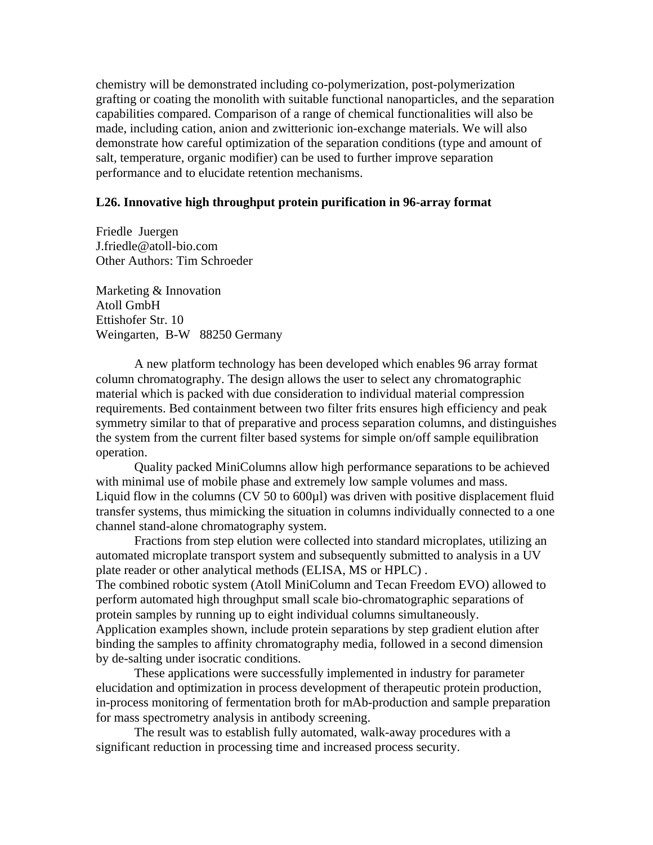chemistry will be demonstrated including co-polymerization, post-polymerization grafting or coating the monolith with suitable functional nanoparticles, and the separation capabilities compared. Comparison of a range of chemical functionalities will also be made, including cation, anion and zwitterionic ion-exchange materials. We will also demonstrate how careful optimization of the separation conditions (type and amount of salt, temperature, organic modifier) can be used to further improve separation performance and to elucidate retention mechanisms.

#### **L26. Innovative high throughput protein purification in 96-array format**

Friedle Juergen J.friedle@atoll-bio.com Other Authors: Tim Schroeder

Marketing & Innovation Atoll GmbH Ettishofer Str. 10 Weingarten, B-W 88250 Germany

 A new platform technology has been developed which enables 96 array format column chromatography. The design allows the user to select any chromatographic material which is packed with due consideration to individual material compression requirements. Bed containment between two filter frits ensures high efficiency and peak symmetry similar to that of preparative and process separation columns, and distinguishes the system from the current filter based systems for simple on/off sample equilibration operation.

 Quality packed MiniColumns allow high performance separations to be achieved with minimal use of mobile phase and extremely low sample volumes and mass. Liquid flow in the columns (CV 50 to 600µl) was driven with positive displacement fluid transfer systems, thus mimicking the situation in columns individually connected to a one channel stand-alone chromatography system.

 Fractions from step elution were collected into standard microplates, utilizing an automated microplate transport system and subsequently submitted to analysis in a UV plate reader or other analytical methods (ELISA, MS or HPLC) .

The combined robotic system (Atoll MiniColumn and Tecan Freedom EVO) allowed to perform automated high throughput small scale bio-chromatographic separations of protein samples by running up to eight individual columns simultaneously. Application examples shown, include protein separations by step gradient elution after binding the samples to affinity chromatography media, followed in a second dimension by de-salting under isocratic conditions.

 These applications were successfully implemented in industry for parameter elucidation and optimization in process development of therapeutic protein production, in-process monitoring of fermentation broth for mAb-production and sample preparation for mass spectrometry analysis in antibody screening.

 The result was to establish fully automated, walk-away procedures with a significant reduction in processing time and increased process security.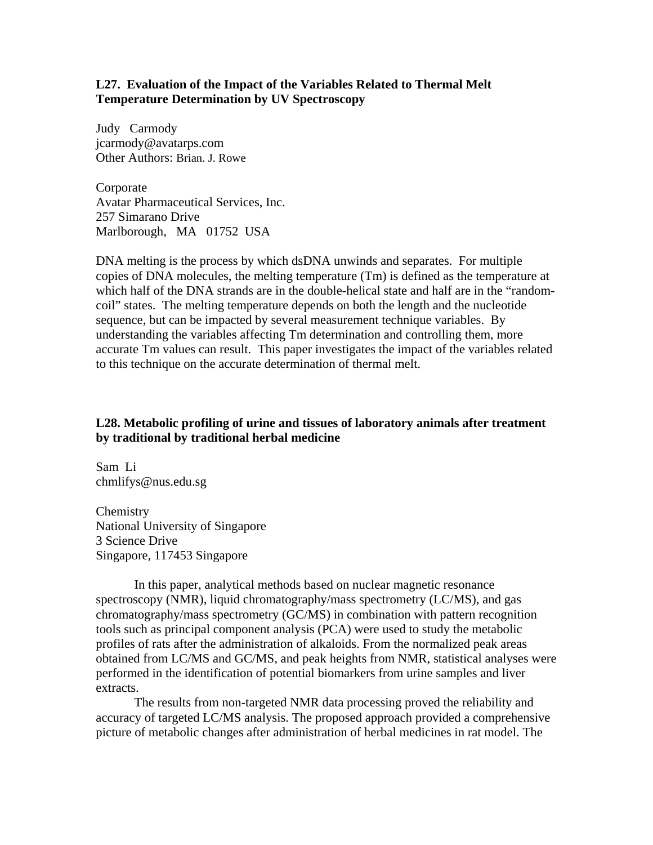### **L27. Evaluation of the Impact of the Variables Related to Thermal Melt Temperature Determination by UV Spectroscopy**

Judy Carmody jcarmody@avatarps.com Other Authors: Brian. J. Rowe

Corporate Avatar Pharmaceutical Services, Inc. 257 Simarano Drive Marlborough, MA 01752 USA

DNA melting is the process by which dsDNA unwinds and separates. For multiple copies of DNA molecules, the melting temperature (Tm) is defined as the temperature at which half of the DNA strands are in the double-helical state and half are in the "randomcoil" states. The melting temperature depends on both the length and the nucleotide sequence, but can be impacted by several measurement technique variables. By understanding the variables affecting Tm determination and controlling them, more accurate Tm values can result. This paper investigates the impact of the variables related to this technique on the accurate determination of thermal melt.

## **L28. Metabolic profiling of urine and tissues of laboratory animals after treatment by traditional by traditional herbal medicine**

Sam Li chmlifys@nus.edu.sg

**Chemistry** National University of Singapore 3 Science Drive Singapore, 117453 Singapore

In this paper, analytical methods based on nuclear magnetic resonance spectroscopy (NMR), liquid chromatography/mass spectrometry (LC/MS), and gas chromatography/mass spectrometry (GC/MS) in combination with pattern recognition tools such as principal component analysis (PCA) were used to study the metabolic profiles of rats after the administration of alkaloids. From the normalized peak areas obtained from LC/MS and GC/MS, and peak heights from NMR, statistical analyses were performed in the identification of potential biomarkers from urine samples and liver extracts.

 The results from non-targeted NMR data processing proved the reliability and accuracy of targeted LC/MS analysis. The proposed approach provided a comprehensive picture of metabolic changes after administration of herbal medicines in rat model. The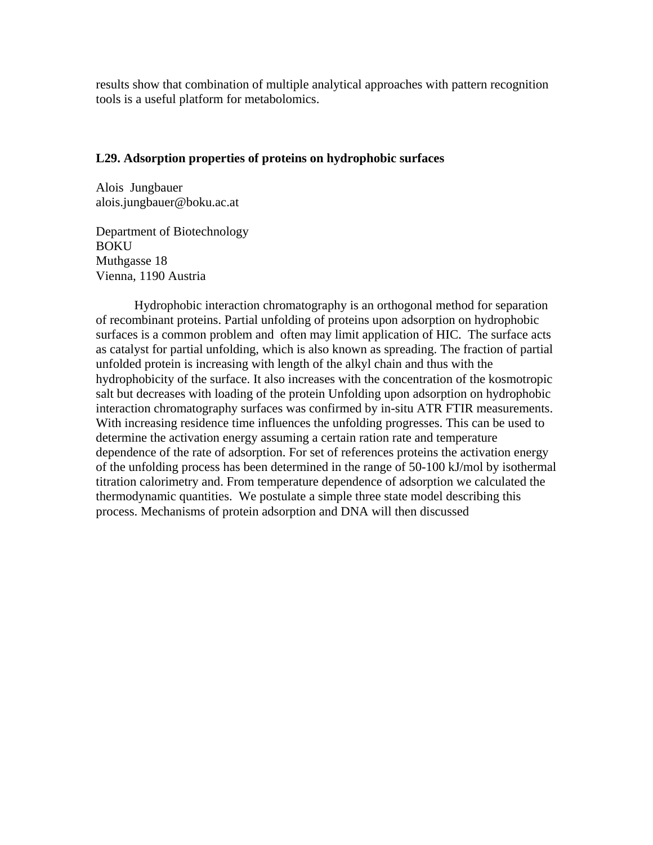results show that combination of multiple analytical approaches with pattern recognition tools is a useful platform for metabolomics.

#### **L29. Adsorption properties of proteins on hydrophobic surfaces**

Alois Jungbauer alois.jungbauer@boku.ac.at

Department of Biotechnology BOKU Muthgasse 18 Vienna, 1190 Austria

Hydrophobic interaction chromatography is an orthogonal method for separation of recombinant proteins. Partial unfolding of proteins upon adsorption on hydrophobic surfaces is a common problem and often may limit application of HIC. The surface acts as catalyst for partial unfolding, which is also known as spreading. The fraction of partial unfolded protein is increasing with length of the alkyl chain and thus with the hydrophobicity of the surface. It also increases with the concentration of the kosmotropic salt but decreases with loading of the protein Unfolding upon adsorption on hydrophobic interaction chromatography surfaces was confirmed by in-situ ATR FTIR measurements. With increasing residence time influences the unfolding progresses. This can be used to determine the activation energy assuming a certain ration rate and temperature dependence of the rate of adsorption. For set of references proteins the activation energy of the unfolding process has been determined in the range of 50-100 kJ/mol by isothermal titration calorimetry and. From temperature dependence of adsorption we calculated the thermodynamic quantities. We postulate a simple three state model describing this process. Mechanisms of protein adsorption and DNA will then discussed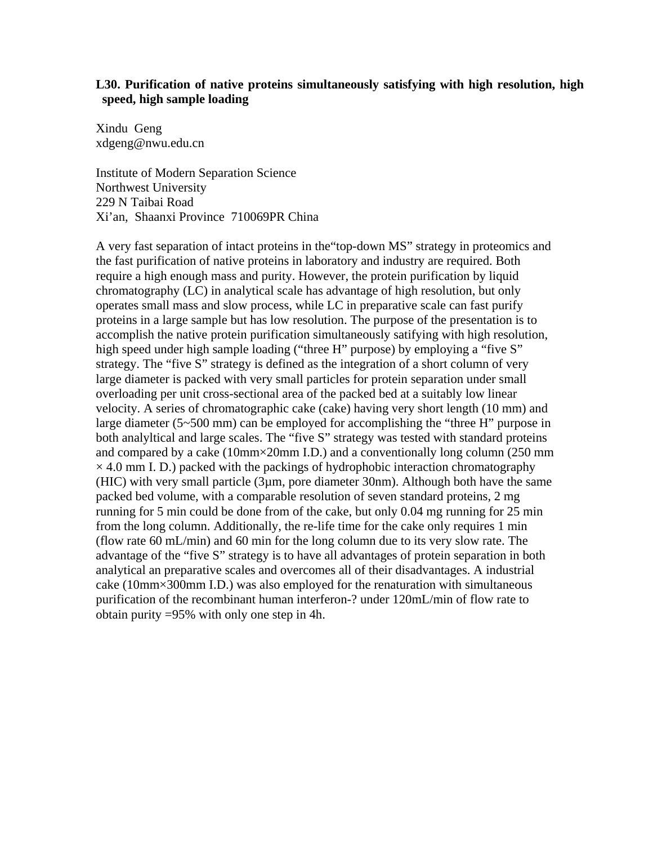### **L30. Purification of native proteins simultaneously satisfying with high resolution, high speed, high sample loading**

Xindu Geng xdgeng@nwu.edu.cn

Institute of Modern Separation Science Northwest University 229 N Taibai Road Xi'an, Shaanxi Province 710069PR China

A very fast separation of intact proteins in the"top-down MS" strategy in proteomics and the fast purification of native proteins in laboratory and industry are required. Both require a high enough mass and purity. However, the protein purification by liquid chromatography (LC) in analytical scale has advantage of high resolution, but only operates small mass and slow process, while LC in preparative scale can fast purify proteins in a large sample but has low resolution. The purpose of the presentation is to accomplish the native protein purification simultaneously satifying with high resolution, high speed under high sample loading ("three H" purpose) by employing a "five S" strategy. The "five S" strategy is defined as the integration of a short column of very large diameter is packed with very small particles for protein separation under small overloading per unit cross-sectional area of the packed bed at a suitably low linear velocity. A series of chromatographic cake (cake) having very short length (10 mm) and large diameter (5~500 mm) can be employed for accomplishing the "three H" purpose in both analyltical and large scales. The "five S" strategy was tested with standard proteins and compared by a cake (10mm×20mm I.D.) and a conventionally long column (250 mm  $\times$  4.0 mm I. D.) packed with the packings of hydrophobic interaction chromatography (HIC) with very small particle (3µm, pore diameter 30nm). Although both have the same packed bed volume, with a comparable resolution of seven standard proteins, 2 mg running for 5 min could be done from of the cake, but only 0.04 mg running for 25 min from the long column. Additionally, the re-life time for the cake only requires 1 min (flow rate 60 mL/min) and 60 min for the long column due to its very slow rate. The advantage of the "five S" strategy is to have all advantages of protein separation in both analytical an preparative scales and overcomes all of their disadvantages. A industrial cake (10mm×300mm I.D.) was also employed for the renaturation with simultaneous purification of the recombinant human interferon-? under 120mL/min of flow rate to obtain purity =95% with only one step in 4h.